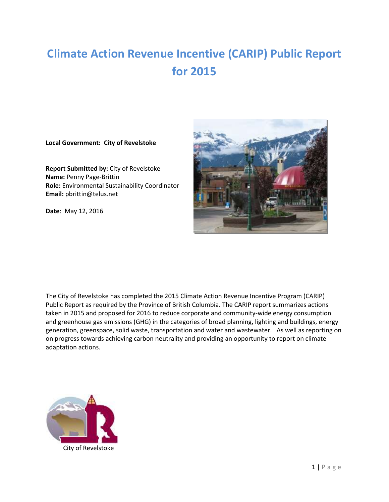# **Climate Action Revenue Incentive (CARIP) Public Report for 2015**

#### **Local Government: City of Revelstoke**

**Report Submitted by:** City of Revelstoke **Name:** Penny Page-Brittin **Role:** Environmental Sustainability Coordinator **Email:** pbrittin@telus.net

**Date**: May 12, 2016



The City of Revelstoke has completed the 2015 Climate Action Revenue Incentive Program (CARIP) Public Report as required by the Province of British Columbia. The CARIP report summarizes actions taken in 2015 and proposed for 2016 to reduce corporate and community-wide energy consumption and greenhouse gas emissions (GHG) in the categories of broad planning, lighting and buildings, energy generation, greenspace, solid waste, transportation and water and wastewater. As well as reporting on on progress towards achieving carbon neutrality and providing an opportunity to report on climate adaptation actions.

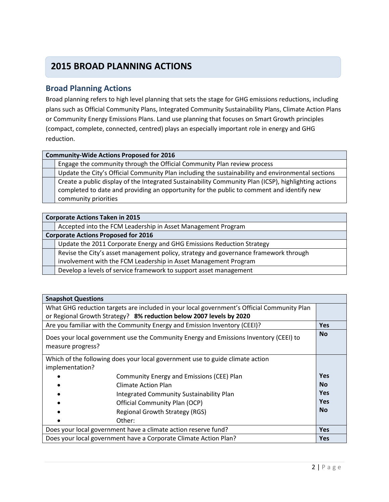# **2015 BROAD PLANNING ACTIONS**

### **Broad Planning Actions**

Broad planning refers to high level planning that sets the stage for GHG emissions reductions, including plans such as Official Community Plans, Integrated Community Sustainability Plans, Climate Action Plans or Community Energy Emissions Plans. Land use planning that focuses on Smart Growth principles (compact, complete, connected, centred) plays an especially important role in energy and GHG reduction.

#### **Community-Wide Actions Proposed for 2016**

Engage the community through the Official Community Plan review process

Update the City's Official Community Plan including the sustainability and environmental sections Create a public display of the Integrated Sustainability Community Plan (ICSP), highlighting actions completed to date and providing an opportunity for the public to comment and identify new community priorities

| <b>Corporate Actions Taken in 2015</b>                                               |  |
|--------------------------------------------------------------------------------------|--|
| Accepted into the FCM Leadership in Asset Management Program                         |  |
| <b>Corporate Actions Proposed for 2016</b>                                           |  |
| Update the 2011 Corporate Energy and GHG Emissions Reduction Strategy                |  |
| Revise the City's asset management policy, strategy and governance framework through |  |
| involvement with the FCM Leadership in Asset Management Program                      |  |
| Develop a levels of service framework to support asset management                    |  |

| <b>Snapshot Questions</b>                                                                                  |            |
|------------------------------------------------------------------------------------------------------------|------------|
| What GHG reduction targets are included in your local government's Official Community Plan                 |            |
| or Regional Growth Strategy? 8% reduction below 2007 levels by 2020                                        |            |
| Are you familiar with the Community Energy and Emission Inventory (CEEI)?                                  | <b>Yes</b> |
| Does your local government use the Community Energy and Emissions Inventory (CEEI) to<br>measure progress? | <b>No</b>  |
| Which of the following does your local government use to guide climate action<br>implementation?           |            |
| Community Energy and Emissions (CEE) Plan                                                                  | <b>Yes</b> |
| Climate Action Plan                                                                                        | <b>No</b>  |
| Integrated Community Sustainability Plan                                                                   | <b>Yes</b> |
| Official Community Plan (OCP)                                                                              | <b>Yes</b> |
| Regional Growth Strategy (RGS)                                                                             | <b>No</b>  |
| Other:                                                                                                     |            |
| Does your local government have a climate action reserve fund?                                             | <b>Yes</b> |
| Does your local government have a Corporate Climate Action Plan?                                           | <b>Yes</b> |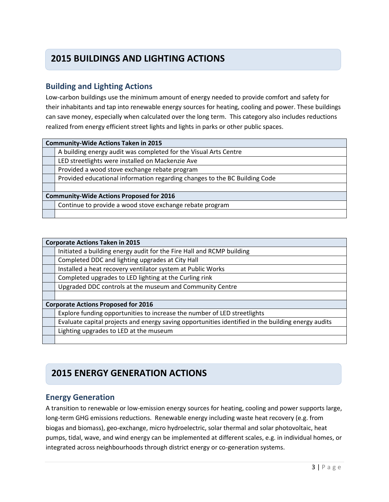# **2015 BUILDINGS AND LIGHTING ACTIONS**

# **Building and Lighting Actions**

Low-carbon buildings use the minimum amount of energy needed to provide comfort and safety for their inhabitants and tap into renewable energy sources for heating, cooling and power. These buildings can save money, especially when calculated over the long term. This category also includes reductions realized from energy efficient street lights and lights in parks or other public spaces.

| <b>Community-Wide Actions Taken in 2015</b>                                |  |
|----------------------------------------------------------------------------|--|
| A building energy audit was completed for the Visual Arts Centre           |  |
| LED streetlights were installed on Mackenzie Ave                           |  |
| Provided a wood stove exchange rebate program                              |  |
| Provided educational information regarding changes to the BC Building Code |  |
|                                                                            |  |
| <b>Community-Wide Actions Proposed for 2016</b>                            |  |
| Continue to provide a wood stove exchange rebate program                   |  |
|                                                                            |  |

| <b>Corporate Actions Taken in 2015</b>                                                             |  |
|----------------------------------------------------------------------------------------------------|--|
| Initiated a building energy audit for the Fire Hall and RCMP building                              |  |
| Completed DDC and lighting upgrades at City Hall                                                   |  |
| Installed a heat recovery ventilator system at Public Works                                        |  |
| Completed upgrades to LED lighting at the Curling rink                                             |  |
| Upgraded DDC controls at the museum and Community Centre                                           |  |
|                                                                                                    |  |
| <b>Corporate Actions Proposed for 2016</b>                                                         |  |
| Explore funding opportunities to increase the number of LED streetlights                           |  |
| Evaluate capital projects and energy saving opportunities identified in the building energy audits |  |
| Lighting upgrades to LED at the museum                                                             |  |
|                                                                                                    |  |

# **2015 ENERGY GENERATION ACTIONS**

# **Energy Generation**

A transition to renewable or low-emission energy sources for heating, cooling and power supports large, long-term GHG emissions reductions. Renewable energy including waste heat recovery (e.g. from biogas and biomass), geo-exchange, micro hydroelectric, solar thermal and solar photovoltaic, heat pumps, tidal, wave, and wind energy can be implemented at different scales, e.g. in individual homes, or integrated across neighbourhoods through district energy or co-generation systems.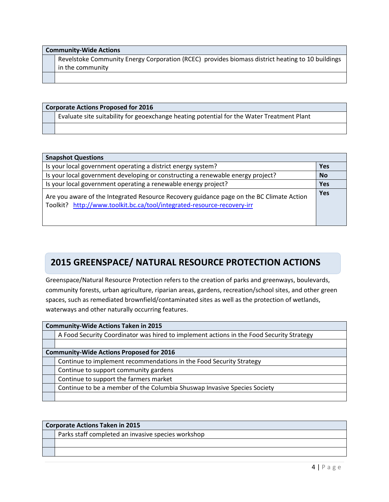| <b>Community-Wide Actions</b> |                                                                                                  |
|-------------------------------|--------------------------------------------------------------------------------------------------|
|                               | Revelstoke Community Energy Corporation (RCEC) provides biomass district heating to 10 buildings |
|                               | in the community                                                                                 |
|                               |                                                                                                  |

| <b>Corporate Actions Proposed for 2016</b> |                                                                                           |
|--------------------------------------------|-------------------------------------------------------------------------------------------|
|                                            | Evaluate site suitability for geoexchange heating potential for the Water Treatment Plant |
|                                            |                                                                                           |

| <b>Snapshot Questions</b>                                                                                                                                           |            |
|---------------------------------------------------------------------------------------------------------------------------------------------------------------------|------------|
| Is your local government operating a district energy system?                                                                                                        | Yes        |
| Is your local government developing or constructing a renewable energy project?                                                                                     | <b>No</b>  |
| Is your local government operating a renewable energy project?                                                                                                      | Yes        |
| Are you aware of the Integrated Resource Recovery guidance page on the BC Climate Action<br>Toolkit? http://www.toolkit.bc.ca/tool/integrated-resource-recovery-irr | <b>Yes</b> |

### **Greenspace 2015 GREENSPACE/ NATURAL RESOURCE PROTECTION ACTIONS**

Greenspace/Natural Resource Protection refers to the creation of parks and greenways, boulevards, community forests, urban agriculture, riparian areas, gardens, recreation/school sites, and other green spaces, such as remediated brownfield/contaminated sites as well as the protection of wetlands, waterways and other naturally occurring features.

| <b>Community-Wide Actions Taken in 2015</b> |                                                                                          |  |
|---------------------------------------------|------------------------------------------------------------------------------------------|--|
|                                             | A Food Security Coordinator was hired to implement actions in the Food Security Strategy |  |
|                                             |                                                                                          |  |
|                                             | <b>Community-Wide Actions Proposed for 2016</b>                                          |  |
|                                             | Continue to implement recommendations in the Food Security Strategy                      |  |
|                                             | Continue to support community gardens                                                    |  |
|                                             | Continue to support the farmers market                                                   |  |
|                                             | Continue to be a member of the Columbia Shuswap Invasive Species Society                 |  |
|                                             |                                                                                          |  |

| <b>Corporate Actions Taken in 2015</b>             |  |
|----------------------------------------------------|--|
| Parks staff completed an invasive species workshop |  |
|                                                    |  |
|                                                    |  |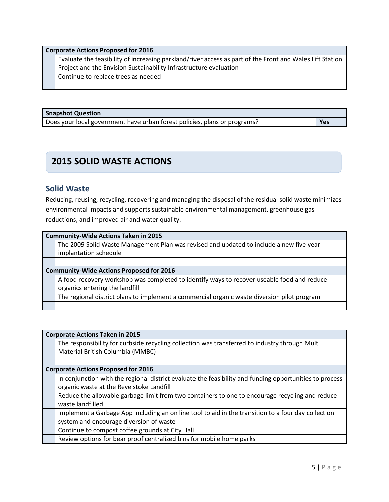| <b>Corporate Actions Proposed for 2016</b>                                                               |  |
|----------------------------------------------------------------------------------------------------------|--|
| Evaluate the feasibility of increasing parkland/river access as part of the Front and Wales Lift Station |  |
| Project and the Envision Sustainability Infrastructure evaluation                                        |  |
| Continue to replace trees as needed                                                                      |  |
|                                                                                                          |  |

#### **Snapshot Question**

| Does your local government have urban forest policies, plans or programs? | Yes |
|---------------------------------------------------------------------------|-----|
|                                                                           |     |

# **2015 SOLID WASTE ACTIONS**

### **Solid Waste**

Reducing, reusing, recycling, recovering and managing the disposal of the residual solid waste minimizes environmental impacts and supports sustainable environmental management, greenhouse gas reductions, and improved air and water quality.

| <b>Community-Wide Actions Taken in 2015</b>                                                 |  |
|---------------------------------------------------------------------------------------------|--|
| The 2009 Solid Waste Management Plan was revised and updated to include a new five year     |  |
| implantation schedule                                                                       |  |
|                                                                                             |  |
| <b>Community-Wide Actions Proposed for 2016</b>                                             |  |
| A food recovery workshop was completed to identify ways to recover useable food and reduce  |  |
| organics entering the landfill                                                              |  |
| The regional district plans to implement a commercial organic waste diversion pilot program |  |
|                                                                                             |  |

| <b>Corporate Actions Taken in 2015</b>                                                                  |  |  |
|---------------------------------------------------------------------------------------------------------|--|--|
| The responsibility for curbside recycling collection was transferred to industry through Multi          |  |  |
| Material British Columbia (MMBC)                                                                        |  |  |
|                                                                                                         |  |  |
| <b>Corporate Actions Proposed for 2016</b>                                                              |  |  |
| In conjunction with the regional district evaluate the feasibility and funding opportunities to process |  |  |
| organic waste at the Revelstoke Landfill                                                                |  |  |
| Reduce the allowable garbage limit from two containers to one to encourage recycling and reduce         |  |  |
| waste landfilled                                                                                        |  |  |
| Implement a Garbage App including an on line tool to aid in the transition to a four day collection     |  |  |
| system and encourage diversion of waste                                                                 |  |  |
| Continue to compost coffee grounds at City Hall                                                         |  |  |
| Review options for bear proof centralized bins for mobile home parks                                    |  |  |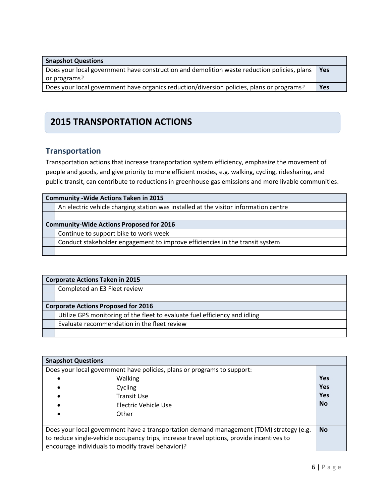| <b>Snapshot Questions</b>                                                                   |            |
|---------------------------------------------------------------------------------------------|------------|
| Does your local government have construction and demolition waste reduction policies, plans | Yes        |
| or programs?                                                                                |            |
| Does your local government have organics reduction/diversion policies, plans or programs?   | <b>Yes</b> |

# **2015 TRANSPORTATION ACTIONS**

# **Transportation**

Transportation actions that increase transportation system efficiency, emphasize the movement of people and goods, and give priority to more efficient modes, e.g. walking, cycling, ridesharing, and public transit, can contribute to reductions in greenhouse gas emissions and more livable communities.

| <b>Community - Wide Actions Taken in 2015</b>                                        |  |
|--------------------------------------------------------------------------------------|--|
| An electric vehicle charging station was installed at the visitor information centre |  |
|                                                                                      |  |
| <b>Community-Wide Actions Proposed for 2016</b>                                      |  |
| Continue to support bike to work week                                                |  |
| Conduct stakeholder engagement to improve efficiencies in the transit system         |  |
|                                                                                      |  |

| <b>Corporate Actions Taken in 2015</b>                                     |  |  |
|----------------------------------------------------------------------------|--|--|
| Completed an E3 Fleet review                                               |  |  |
|                                                                            |  |  |
| <b>Corporate Actions Proposed for 2016</b>                                 |  |  |
| Utilize GPS monitoring of the fleet to evaluate fuel efficiency and idling |  |  |
| Evaluate recommendation in the fleet review                                |  |  |
|                                                                            |  |  |

| <b>Snapshot Questions</b> |                                                                                                                                                                                                                                          |            |
|---------------------------|------------------------------------------------------------------------------------------------------------------------------------------------------------------------------------------------------------------------------------------|------------|
|                           | Does your local government have policies, plans or programs to support:                                                                                                                                                                  |            |
|                           | Walking                                                                                                                                                                                                                                  | <b>Yes</b> |
|                           | Cycling                                                                                                                                                                                                                                  | <b>Yes</b> |
|                           | <b>Transit Use</b>                                                                                                                                                                                                                       | <b>Yes</b> |
|                           | Electric Vehicle Use                                                                                                                                                                                                                     | <b>No</b>  |
|                           | Other                                                                                                                                                                                                                                    |            |
|                           | Does your local government have a transportation demand management (TDM) strategy (e.g.<br>to reduce single-vehicle occupancy trips, increase travel options, provide incentives to<br>encourage individuals to modify travel behavior)? | <b>No</b>  |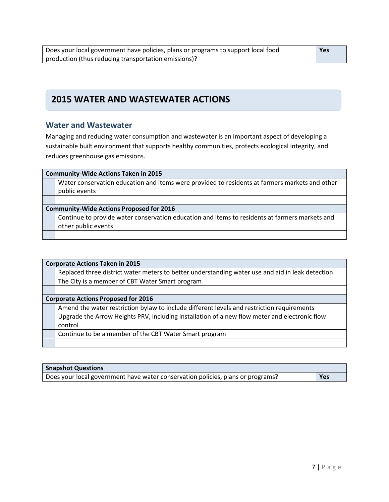# **2015 WATER AND WASTEWATER ACTIONS**

### **Water and Wastewater**

Managing and reducing water consumption and wastewater is an important aspect of developing a sustainable built environment that supports healthy communities, protects ecological integrity, and reduces greenhouse gas emissions.

| <b>Community-Wide Actions Taken in 2015</b>                                                    |  |  |
|------------------------------------------------------------------------------------------------|--|--|
| Water conservation education and items were provided to residents at farmers markets and other |  |  |
| public events                                                                                  |  |  |
|                                                                                                |  |  |
| <b>Community-Wide Actions Proposed for 2016</b>                                                |  |  |
| Continue to provide water conservation education and items to residents at farmers markets and |  |  |
| other public events                                                                            |  |  |
|                                                                                                |  |  |

| <b>Corporate Actions Taken in 2015</b>                                                           |  |  |
|--------------------------------------------------------------------------------------------------|--|--|
| Replaced three district water meters to better understanding water use and aid in leak detection |  |  |
| The City is a member of CBT Water Smart program                                                  |  |  |
|                                                                                                  |  |  |
| <b>Corporate Actions Proposed for 2016</b>                                                       |  |  |
| Amend the water restriction bylaw to include different levels and restriction requirements       |  |  |
| Upgrade the Arrow Heights PRV, including installation of a new flow meter and electronic flow    |  |  |
| control                                                                                          |  |  |
| Continue to be a member of the CBT Water Smart program                                           |  |  |
|                                                                                                  |  |  |

| <b>Snapshot Questions</b>                                                       |     |
|---------------------------------------------------------------------------------|-----|
| Does your local government have water conservation policies, plans or programs? | Yes |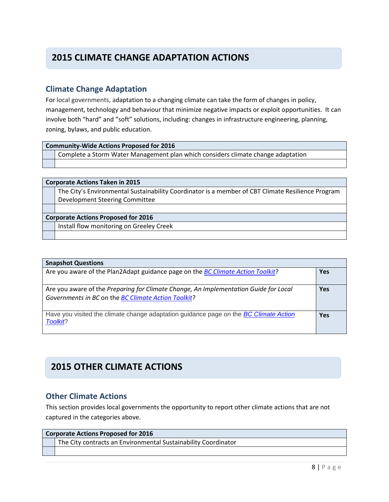# **2015 CLIMATE CHANGE ADAPTATION ACTIONS**

### **Climate Change Adaptation**

For local governments, adaptation to a changing climate can take the form of changes in policy, management, technology and behaviour that minimize negative impacts or exploit opportunities. It can involve both "hard" and "soft" solutions, including: changes in infrastructure engineering, planning, zoning, bylaws, and public education.

| Community-Wide Actions Proposed for 2016 |
|------------------------------------------|
|                                          |

Complete a Storm Water Management plan which considers climate change adaptation

#### **Corporate Actions Taken in 2015**

The City's Environmental Sustainability Coordinator is a member of CBT Climate Resilience Program Development Steering Committee

#### **Corporate Actions Proposed for 2016**

Install flow monitoring on Greeley Creek

| <b>Snapshot Questions</b>                                                                                                                   |            |
|---------------------------------------------------------------------------------------------------------------------------------------------|------------|
| Are you aware of the Plan2Adapt guidance page on the <i>BC Climate Action Toolkit?</i>                                                      | <b>Yes</b> |
| Are you aware of the Preparing for Climate Change, An Implementation Guide for Local<br>Governments in BC on the BC Climate Action Toolkit? | <b>Yes</b> |
| Have you visited the climate change adaptation guidance page on the <i>BC Climate Action</i><br>Toolkit?                                    | Yes        |

# **2015 OTHER CLIMATE ACTIONS**

### **Other Climate Actions**

This section provides local governments the opportunity to report other climate actions that are not captured in the categories above.

#### **Corporate Actions Proposed for 2016**

The City contracts an Environmental Sustainability Coordinator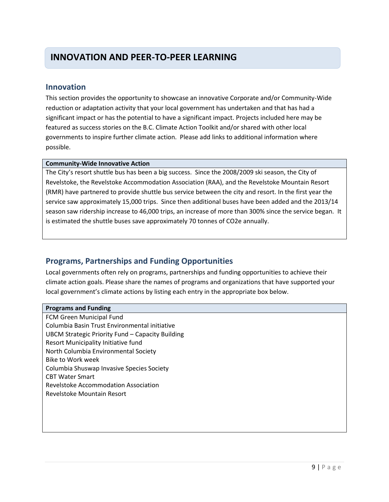# **INNOVATION AND PEER-TO-PEER LEARNING**

### **Innovation**

This section provides the opportunity to showcase an innovative Corporate and/or Community-Wide reduction or adaptation activity that your local government has undertaken and that has had a significant impact or has the potential to have a significant impact. Projects included here may be featured as success stories on the B.C. Climate Action Toolkit and/or shared with other local governments to inspire further climate action. Please add links to additional information where possible.

#### **Community-Wide Innovative Action**

The City's resort shuttle bus has been a big success. Since the 2008/2009 ski season, the City of Revelstoke, the Revelstoke Accommodation Association (RAA), and the Revelstoke Mountain Resort (RMR) have partnered to provide shuttle bus service between the city and resort. In the first year the service saw approximately 15,000 trips. Since then additional buses have been added and the 2013/14 season saw ridership increase to 46,000 trips, an increase of more than 300% since the service began. It is estimated the shuttle buses save approximately 70 tonnes of CO2e annually.

# **Programs, Partnerships and Funding Opportunities**

Local governments often rely on programs, partnerships and funding opportunities to achieve their climate action goals. Please share the names of programs and organizations that have supported your local government's climate actions by listing each entry in the appropriate box below.

#### **Programs and Funding**

FCM Green Municipal Fund Columbia Basin Trust Environmental initiative UBCM Strategic Priority Fund – Capacity Building Resort Municipality Initiative fund North Columbia Environmental Society Bike to Work week Columbia Shuswap Invasive Species Society CBT Water Smart Revelstoke Accommodation Association Revelstoke Mountain Resort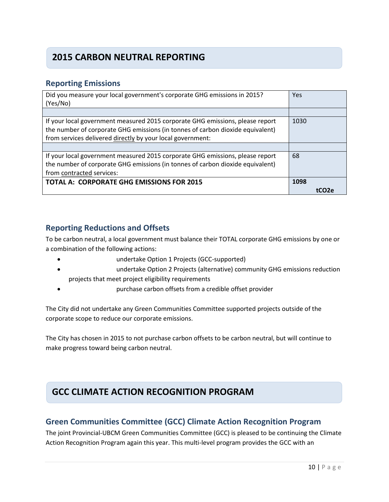# **2015 CARBON NEUTRAL REPORTING**

### **Reporting Emissions**

| Did you measure your local government's corporate GHG emissions in 2015?       | Yes  |
|--------------------------------------------------------------------------------|------|
| (Yes/No)                                                                       |      |
|                                                                                |      |
| If your local government measured 2015 corporate GHG emissions, please report  | 1030 |
| the number of corporate GHG emissions (in tonnes of carbon dioxide equivalent) |      |
| from services delivered directly by your local government:                     |      |
|                                                                                |      |
| If your local government measured 2015 corporate GHG emissions, please report  | 68   |
| the number of corporate GHG emissions (in tonnes of carbon dioxide equivalent) |      |
| from contracted services:                                                      |      |
| <b>TOTAL A: CORPORATE GHG EMISSIONS FOR 2015</b>                               | 1098 |
|                                                                                |      |

### **Reporting Reductions and Offsets**

To be carbon neutral, a local government must balance their TOTAL corporate GHG emissions by one or a combination of the following actions:

- undertake Option 1 Projects (GCC-supported)
- undertake Option 2 Projects (alternative) community GHG emissions reduction projects that meet project eligibility requirements
- purchase carbon offsets from a credible offset provider

The City did not undertake any Green Communities Committee supported projects outside of the corporate scope to reduce our corporate emissions.

The City has chosen in 2015 to not purchase carbon offsets to be carbon neutral, but will continue to make progress toward being carbon neutral.

# **GCC CLIMATE ACTION RECOGNITION PROGRAM**

# **Green Communities Committee (GCC) Climate Action Recognition Program**

The joint Provincial-UBCM Green Communities Committee (GCC) is pleased to be continuing the Climate Action Recognition Program again this year. This multi-level program provides the GCC with an